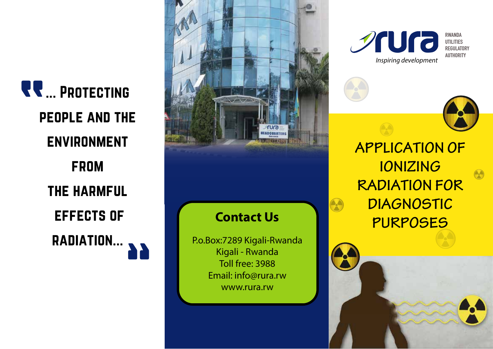**RR** ... PROTECTING people and the **ENVIRONMENT** from the harmful effects of radiation...



**Sura RWANDA UTILITIES REGULATORY AUTHORITY** *Inspiring development*

**APPLICATION OF IONIZING RADIATION FOR DIAGNOSTIC PURPOSES**